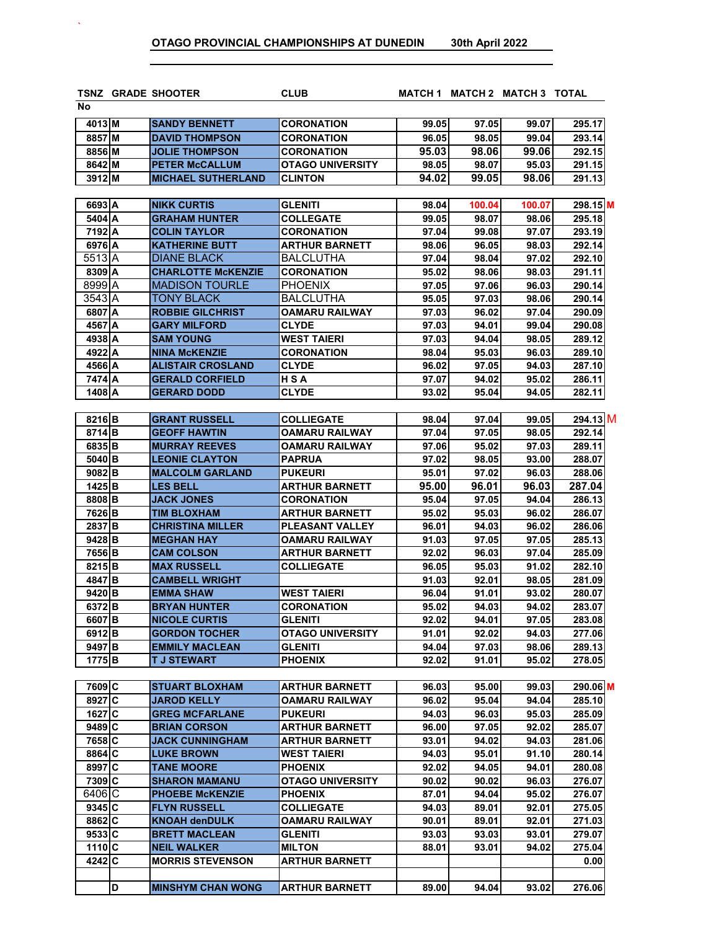`

|                     | <b>TSNZ GRADE SHOOTER</b> | <b>CLUB</b>             |       | MATCH 1 MATCH 2 MATCH 3 TOTAL |        |          |
|---------------------|---------------------------|-------------------------|-------|-------------------------------|--------|----------|
| No                  |                           |                         |       |                               |        |          |
| 4013 M              | <b>SANDY BENNETT</b>      | CORONATION              | 99.05 | 97.05                         | 99.07  | 295.17   |
| 8857 M              | <b>DAVID THOMPSON</b>     | CORONATION              | 96.05 | 98.05                         | 99.04  | 293.14   |
| 8856 M              | <b>JOLIE THOMPSON</b>     | CORONATION              | 95.03 | 98.06                         | 99.06  | 292.15   |
| 8642 M              | <b>PETER McCALLUM</b>     | <b>OTAGO UNIVERSITY</b> | 98.05 | 98.07                         | 95.03  | 291.15   |
| 3912 M              | <b>MICHAEL SUTHERLAND</b> | <b>CLINTON</b>          | 94.02 | 99.05                         | 98.06  | 291.13   |
| 6693 A              | <b>NIKK CURTIS</b>        | <b>GLENITI</b>          | 98.04 | 100.04                        | 100.07 | 298.15 M |
| 5404 A              | <b>GRAHAM HUNTER</b>      | <b>COLLEGATE</b>        | 99.05 | 98.07                         | 98.06  | 295.18   |
| 7192 A              | <b>COLIN TAYLOR</b>       | CORONATION              | 97.04 | 99.08                         | 97.07  | 293.19   |
| 6976 A              | <b>KATHERINE BUTT</b>     | <b>ARTHUR BARNETT</b>   | 98.06 | 96.05                         | 98.03  | 292.14   |
| $\overline{551}3$ A | <b>DIANE BLACK</b>        | <b>BALCLUTHA</b>        | 97.04 | 98.04                         | 97.02  | 292.10   |
| 8309 A              | <b>CHARLOTTE McKENZIE</b> | CORONATION              | 95.02 | 98.06                         | 98.03  | 291.11   |
| 8999 A              | <b>MADISON TOURLE</b>     | <b>PHOENIX</b>          | 97.05 | 97.06                         | 96.03  | 290.14   |
| 3543 A              | TONY BLACK                | <b>BALCLUTHA</b>        | 95.05 | 97.03                         | 98.06  | 290.14   |
| 6807 A              | <b>ROBBIE GILCHRIST</b>   | OAMARU RAILWAY          | 97.03 | 96.02                         | 97.04  | 290.09   |
| 4567 A              | <b>GARY MILFORD</b>       | <b>CLYDE</b>            | 97.03 | 94.01                         | 99.04  | 290.08   |
| 4938 A              | <b>SAM YOUNG</b>          | <b>WEST TAIERI</b>      | 97.03 | 94.04                         | 98.05  | 289.12   |
| 4922 A              | <b>NINA McKENZIE</b>      | CORONATION              | 98.04 | 95.03                         | 96.03  | 289.10   |
| 4566 A              | <b>ALISTAIR CROSLAND</b>  | <b>CLYDE</b>            | 96.02 | 97.05                         | 94.03  | 287.10   |
| 7474 A              | <b>GERALD CORFIELD</b>    | HSA                     | 97.07 | 94.02                         | 95.02  | 286.11   |
| 1408 A              | <b>GERARD DODD</b>        | <b>CLYDE</b>            | 93.02 | 95.04                         | 94.05  | 282.11   |
|                     |                           |                         |       |                               |        |          |
| 8216B               | <b>GRANT RUSSELL</b>      | <b>COLLIEGATE</b>       | 98.04 | 97.04                         | 99.05  | 294.13 M |
| 8714B               | <b>GEOFF HAWTIN</b>       | OAMARU RAILWAY          | 97.04 | 97.05                         | 98.05  | 292.14   |
| 6835B               | <b>MURRAY REEVES</b>      | OAMARU RAILWAY          | 97.06 | 95.02                         | 97.03  | 289.11   |
| 5040 B              | <b>LEONIE CLAYTON</b>     | PAPRUA                  | 97.02 | 98.05                         | 93.00  | 288.07   |
| 9082B               | <b>MALCOLM GARLAND</b>    | <b>PUKEURI</b>          | 95.01 | 97.02                         | 96.03  | 288.06   |
| $1425$ B            | <b>LES BELL</b>           | ARTHUR BARNETT          | 95.00 | 96.01                         | 96.03  | 287.04   |
| 8808 B              | <b>JACK JONES</b>         | CORONATION              | 95.04 | 97.05                         | 94.04  | 286.13   |
| 7626 B              | <b>TIM BLOXHAM</b>        | ARTHUR BARNETT          | 95.02 | 95.03                         | 96.02  | 286.07   |
| 2837 <sub>B</sub>   | <b>CHRISTINA MILLER</b>   | PLEASANT VALLEY         | 96.01 | 94.03                         | 96.02  | 286.06   |
| 9428B               | <b>MEGHAN HAY</b>         | <b>OAMARU RAILWAY</b>   | 91.03 | 97.05                         | 97.05  | 285.13   |
| 7656B               | <b>CAM COLSON</b>         | <b>ARTHUR BARNETT</b>   | 92.02 | 96.03                         | 97.04  | 285.09   |
| 8215B               | <b>MAX RUSSELL</b>        | <b>COLLIEGATE</b>       | 96.05 | 95.03                         | 91.02  | 282.10   |
| 4847 <sub>B</sub>   | <b>CAMBELL WRIGHT</b>     |                         | 91.03 | 92.01                         | 98.05  | 281.09   |
| 9420 B              | <b>EMMA SHAW</b>          | <b>WEST TAIERI</b>      | 96.04 | 91.01                         | 93.02  | 280.07   |
| 6372B               | <b>BRYAN HUNTER</b>       | <b>CORONATION</b>       | 95.02 | 94.03                         | 94.02  | 283.07   |
| 6607 <sub>B</sub>   | <b>NICOLE CURTIS</b>      | <b>GLENITI</b>          | 92.02 | 94.01                         | 97.05  | 283.08   |
| 6912B               | <b>GORDON TOCHER</b>      | OTAGO UNIVERSITY        | 91.01 | 92.02                         | 94.03  | 277.061  |
| 9497 <sub>B</sub>   | <b>EMMILY MACLEAN</b>     | <b>GLENITI</b>          | 94.04 | 97.03                         | 98.06  | 289.13   |
| 1775 <sub>B</sub>   | <b>TJ STEWART</b>         | <b>PHOENIX</b>          | 92.02 | 91.01                         | 95.02  | 278.05   |
|                     |                           |                         |       |                               |        |          |
| 7609 C              | <b>STUART BLOXHAM</b>     | <b>ARTHUR BARNETT</b>   | 96.03 | 95.00                         | 99.03  | 290.06 M |
| 8927 C              | JAROD KELLY               | OAMARU RAILWAY          | 96.02 | 95.04                         | 94.04  | 285.10   |
| 1627 C              | <b>GREG MCFARLANE</b>     | <b>PUKEURI</b>          | 94.03 | 96.03                         | 95.03  | 285.09   |
| $9489$ C            | <b>BRIAN CORSON</b>       | <b>ARTHUR BARNETT</b>   | 96.00 | 97.05                         | 92.02  | 285.07   |
| 7658 C              | <b>JACK CUNNINGHAM</b>    | <b>ARTHUR BARNETT</b>   | 93.01 | 94.02                         | 94.03  | 281.06   |
| 8864 C              | <b>LUKE BROWN</b>         | <b>WEST TAIERI</b>      | 94.03 | 95.01                         | 91.10  | 280.14   |
| 8997 C              | <b>TANE MOORE</b>         | <b>PHOENIX</b>          | 92.02 | 94.05                         | 94.01  | 280.08   |
| 7309 C              | <b>SHARON MAMANU</b>      | <b>OTAGO UNIVERSITY</b> | 90.02 | 90.02                         | 96.03  | 276.07   |
| $6406$ C            | <b>PHOEBE McKENZIE</b>    | <b>PHOENIX</b>          | 87.01 | 94.04                         | 95.02  | 276.07   |
| 9345 C              | <b>FLYN RUSSELL</b>       | <b>COLLIEGATE</b>       | 94.03 | 89.01                         | 92.01  | 275.05   |
| $8862$ C            | <b>KNOAH denDULK</b>      | <b>OAMARU RAILWAY</b>   | 90.01 | 89.01                         | 92.01  | 271.03   |
| 9533 C              | <b>BRETT MACLEAN</b>      | GLENITI                 | 93.03 | 93.03                         | 93.01  | 279.07   |
| $1110$ C            | <b>NEIL WALKER</b>        | MILTON                  | 88.01 | 93.01                         | 94.02  | 275.04   |
| 4242 C              | <b>MORRIS STEVENSON</b>   | <b>ARTHUR BARNETT</b>   |       |                               |        | 0.00     |
|                     |                           |                         |       |                               |        |          |

**D MINSHYM CHAN WONG ARTHUR BARNETT 89.00 94.04 93.02 276.06**